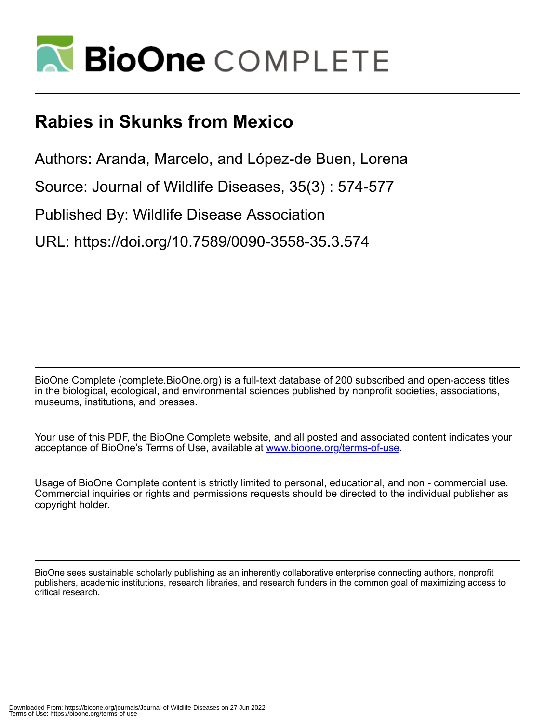

## **Rabies in Skunks from Mexico**

Authors: Aranda, Marcelo, and López-de Buen, Lorena

Source: Journal of Wildlife Diseases, 35(3) : 574-577

Published By: Wildlife Disease Association

URL: https://doi.org/10.7589/0090-3558-35.3.574

BioOne Complete (complete.BioOne.org) is a full-text database of 200 subscribed and open-access titles in the biological, ecological, and environmental sciences published by nonprofit societies, associations, museums, institutions, and presses.

Your use of this PDF, the BioOne Complete website, and all posted and associated content indicates your acceptance of BioOne's Terms of Use, available at www.bioone.org/terms-of-use.

Usage of BioOne Complete content is strictly limited to personal, educational, and non - commercial use. Commercial inquiries or rights and permissions requests should be directed to the individual publisher as copyright holder.

BioOne sees sustainable scholarly publishing as an inherently collaborative enterprise connecting authors, nonprofit publishers, academic institutions, research libraries, and research funders in the common goal of maximizing access to critical research.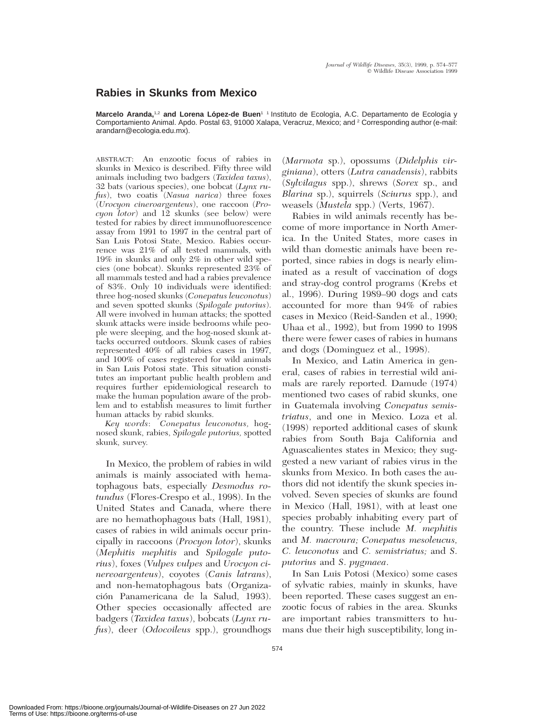## **Rabies in Skunks from Mexico**

Marcelo Aranda,<sup>1,2</sup> and Lorena López-de Buen<sup>1</sup> <sup>1</sup> Instituto de Ecología, A.C. Departamento de Ecología y Comportamiento Animal. Apdo. Postal 63, 91000 Xalapa, Veracruz, Mexico; and <sup>2</sup> Corresponding author (e-mail: arandarn@ecologia.edu.mx).

ABSTRACT: An enzootic focus of rabies in skunks in Mexico is described. Fifty three wild animals including two badgers (*Taxidea taxus*), 32 bats (various species), one bobcat (*Lynx rufus*), two coatis (*Nasua narica*) three foxes (*Urocyon cineroargenteus*), one raccoon (*Procyon lotor*) and 12 skunks (see below) were tested for rabies by direct immunofluorescence assay from 1991 to 1997 in the central part of San Luis Potosi State, Mexico. Rabies occurrence was 21% of all tested mammals, with 19% in skunks and only 2% in other wild species (one bobcat). Skunks represented 23% of all mammals tested and had a rabies prevalence of 83%. Only 10 individuals were identified: three hog-nosed skunks (*Conepatus leuconotus*) and seven spotted skunks (*Spilogale putorius*). All were involved in human attacks; the spotted skunk attacks were inside bedrooms while people were sleeping, and the hog-nosed skunk attacks occurred outdoors. Skunk cases of rabies represented 40% of all rabies cases in 1997, and 100% of cases registered for wild animals in San Luis Potosi state. This situation constitutes an important public health problem and requires further epidemiological research to make the human population aware of the problem and to establish measures to limit further human attacks by rabid skunks.

*Key words*: *Conepatus leuconotus,* hognosed skunk, rabies, *Spilogale putorius,* spotted skunk, survey.

In Mexico, the problem of rabies in wild animals is mainly associated with hematophagous bats, especially *Desmodus rotundus* (Flores-Crespo et al., 1998). In the United States and Canada, where there are no hemathophagous bats (Hall, 1981), cases of rabies in wild animals occur principally in raccoons (*Procyon lotor*), skunks (*Mephitis mephitis* and *Spilogale putorius*), foxes (*Vulpes vulpes* and *Urocyon cinereoargenteus*), coyotes (*Canis latrans*), and non-hematophagous bats (Organización Panamericana de la Salud, 1993). Other species occasionally affected are badgers (*Taxidea taxus*), bobcats (*Lynx rufus*), deer (*Odocoileus* spp.), groundhogs

(*Marmota* sp.), opossums (*Didelphis virginiana*), otters (*Lutra canadensis*), rabbits (*Sylvilagus* spp.), shrews (*Sorex* sp., and *Blarina* sp.), squirrels (*Sciurus* spp.), and weasels (*Mustela* spp.) (Verts, 1967).

Rabies in wild animals recently has become of more importance in North America. In the United States, more cases in wild than domestic animals have been reported, since rabies in dogs is nearly eliminated as a result of vaccination of dogs and stray-dog control programs (Krebs et al., 1996). During 1989–90 dogs and cats accounted for more than 94% of rabies cases in Mexico (Reid-Sanden et al., 1990; Uhaa et al., 1992), but from 1990 to 1998 there were fewer cases of rabies in humans and dogs (Dominguez et al., 1998).

In Mexico, and Latin America in general, cases of rabies in terrestial wild animals are rarely reported. Damude (1974) mentioned two cases of rabid skunks, one in Guatemala involving *Conepatus semistriatus*, and one in Mexico. Loza et al. (1998) reported additional cases of skunk rabies from South Baja California and Aguascalientes states in Mexico; they suggested a new variant of rabies virus in the skunks from Mexico. In both cases the authors did not identify the skunk species involved. Seven species of skunks are found in Mexico (Hall, 1981), with at least one species probably inhabiting every part of the country. These include *M. mephitis* and *M. macroura; Conepatus mesoleucus, C. leuconotus* and *C. semistriatus;* and *S*. *putorius* and *S*. *pygmaea*.

In San Luis Potosi (Mexico) some cases of sylvatic rabies, mainly in skunks, have been reported. These cases suggest an enzootic focus of rabies in the area. Skunks are important rabies transmitters to humans due their high susceptibility, long in-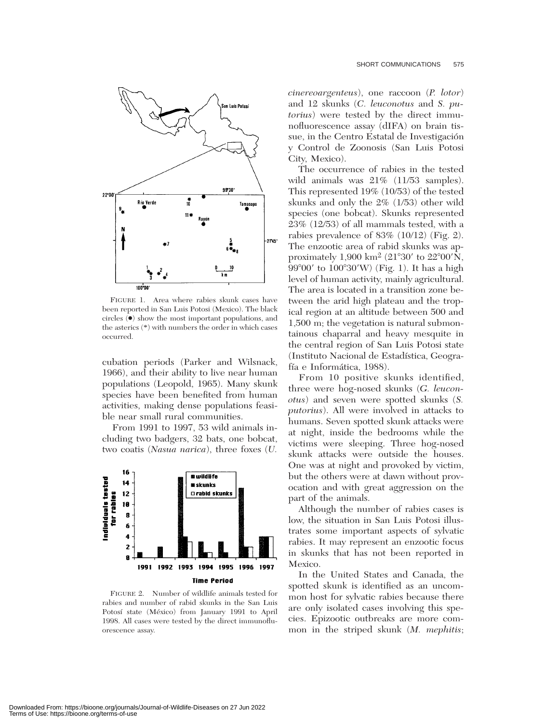

FIGURE 1. Area where rabies skunk cases have been reported in San Luis Potosi (Mexico). The black circles (●) show the most important populations, and the asterics (\*) with numbers the order in which cases occurred.

cubation periods (Parker and Wilsnack, 1966), and their ability to live near human populations (Leopold, 1965). Many skunk species have been benefited from human activities, making dense populations feasible near small rural communities.

From 1991 to 1997, 53 wild animals including two badgers, 32 bats, one bobcat, two coatis (*Nasua narica*), three foxes (*U.*



FIGURE 2. Number of wildlife animals tested for rabies and number of rabid skunks in the San Luis Potosí state (México) from January 1991 to April 1998. All cases were tested by the direct immunofluorescence assay.

*cinereoargenteus*), one raccoon (*P. lotor*) and 12 skunks (*C. leuconotus* and *S. putorius*) were tested by the direct immunofluorescence assay (dIFA) on brain tissue, in the Centro Estatal de Investigación y Control de Zoonosis (San Luis Potosi City, Mexico).

The occurrence of rabies in the tested wild animals was  $21\%$  (11/53 samples). This represented 19% (10/53) of the tested skunks and only the 2% (1/53) other wild species (one bobcat). Skunks represented 23% (12/53) of all mammals tested, with a rabies prevalence of 83% (10/12) (Fig. 2). The enzootic area of rabid skunks was approximately 1,900 km<sup>2</sup> (21°30' to 22°00'N, 99°00' to 100°30'W) (Fig. 1). It has a high level of human activity, mainly agricultural. The area is located in a transition zone between the arid high plateau and the tropical region at an altitude between 500 and 1,500 m; the vegetation is natural submontainous chaparral and heavy mesquite in the central region of San Luis Potosi state (Instituto Nacional de Estadística, Geografía e Informática, 1988).

From 10 positive skunks identified, three were hog-nosed skunks (*G. leuconotus*) and seven were spotted skunks (*S. putorius*). All were involved in attacks to humans. Seven spotted skunk attacks were at night, inside the bedrooms while the victims were sleeping. Three hog-nosed skunk attacks were outside the houses. One was at night and provoked by victim, but the others were at dawn without provocation and with great aggression on the part of the animals.

Although the number of rabies cases is low, the situation in San Luis Potosi illustrates some important aspects of sylvatic rabies. It may represent an enzootic focus in skunks that has not been reported in Mexico.

In the United States and Canada, the spotted skunk is identified as an uncommon host for sylvatic rabies because there are only isolated cases involving this species. Epizootic outbreaks are more common in the striped skunk (*M. mephitis*;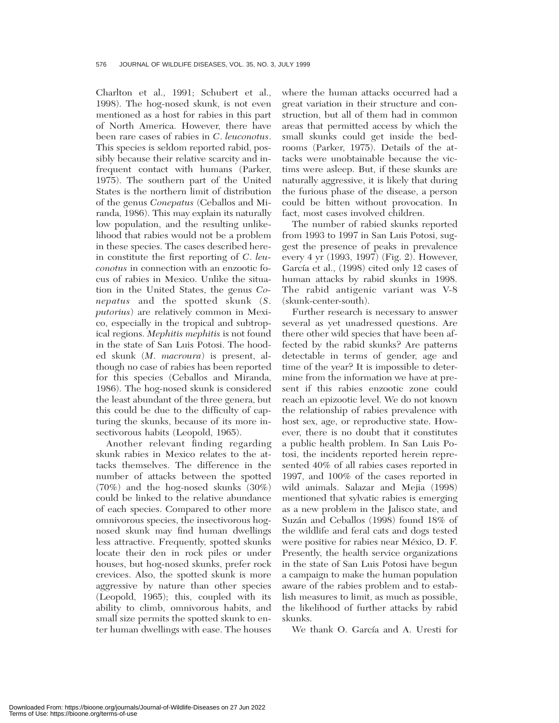Charlton et al., 1991; Schubert et al., 1998). The hog-nosed skunk, is not even mentioned as a host for rabies in this part of North America. However, there have been rare cases of rabies in *C*. *leuconotus*. This species is seldom reported rabid, possibly because their relative scarcity and infrequent contact with humans (Parker, 1975). The southern part of the United States is the northern limit of distribution of the genus *Conepatus* (Ceballos and Miranda, 1986). This may explain its naturally low population, and the resulting unlikelihood that rabies would not be a problem in these species. The cases described herein constitute the first reporting of *C*. *leuconotus* in connection with an enzootic focus of rabies in Mexico. Unlike the situation in the United States, the genus *Conepatus* and the spotted skunk (*S*. *putorius*) are relatively common in Mexico, especially in the tropical and subtropical regions. *Mephitis mephitis* is not found in the state of San Luis Potosi. The hooded skunk (*M*. *macroura*) is present, although no case of rabies has been reported for this species (Ceballos and Miranda, 1986). The hog-nosed skunk is considered the least abundant of the three genera, but this could be due to the difficulty of capturing the skunks, because of its more insectivorous habits (Leopold, 1965).

Another relevant finding regarding skunk rabies in Mexico relates to the attacks themselves. The difference in the number of attacks between the spotted (70%) and the hog-nosed skunks (30%) could be linked to the relative abundance of each species. Compared to other more omnivorous species, the insectivorous hognosed skunk may find human dwellings less attractive. Frequently, spotted skunks locate their den in rock piles or under houses, but hog-nosed skunks, prefer rock crevices. Also, the spotted skunk is more aggressive by nature than other species (Leopold, 1965); this, coupled with its ability to climb, omnivorous habits, and small size permits the spotted skunk to enter human dwellings with ease. The houses

where the human attacks occurred had a great variation in their structure and construction, but all of them had in common areas that permitted access by which the small skunks could get inside the bedrooms (Parker, 1975). Details of the attacks were unobtainable because the victims were asleep. But, if these skunks are naturally aggressive, it is likely that during the furious phase of the disease, a person could be bitten without provocation. In fact, most cases involved children.

The number of rabied skunks reported from 1993 to 1997 in San Luis Potosi, suggest the presence of peaks in prevalence every 4 yr (1993, 1997) (Fig. 2). However, García et al., (1998) cited only 12 cases of human attacks by rabid skunks in 1998. The rabid antigenic variant was V-8 (skunk-center-south).

Further research is necessary to answer several as yet unadressed questions. Are there other wild species that have been affected by the rabid skunks? Are patterns detectable in terms of gender, age and time of the year? It is impossible to determine from the information we have at present if this rabies enzootic zone could reach an epizootic level. We do not known the relationship of rabies prevalence with host sex, age, or reproductive state. However, there is no doubt that it constitutes a public health problem. In San Luis Potosi, the incidents reported herein represented 40% of all rabies cases reported in 1997, and 100% of the cases reported in wild animals. Salazar and Mejia (1998) mentioned that sylvatic rabies is emerging as a new problem in the Jalisco state, and Suzán and Ceballos (1998) found 18% of the wildlife and feral cats and dogs tested were positive for rabies near México, D. F. Presently, the health service organizations in the state of San Luis Potosi have begun a campaign to make the human population aware of the rabies problem and to establish measures to limit, as much as possible, the likelihood of further attacks by rabid skunks.

We thank O. García and A. Uresti for